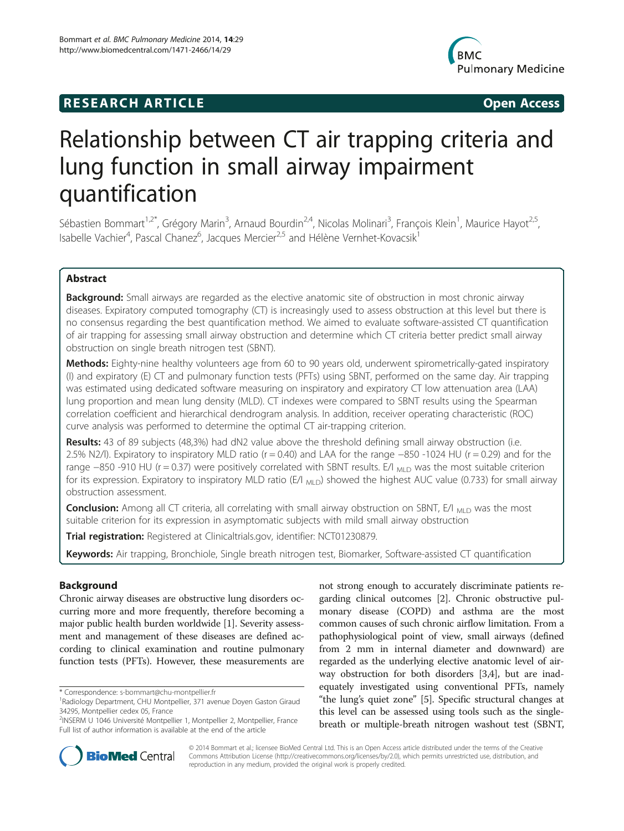## **RESEARCH ARTICLE Example 2014 CONSIDERING CONSIDERING CONSIDERING CONSIDERING CONSIDERING CONSIDERING CONSIDERING CONSIDERING CONSIDERING CONSIDERING CONSIDERING CONSIDERING CONSIDERING CONSIDERING CONSIDERING CONSIDE**



# Relationship between CT air trapping criteria and lung function in small airway impairment quantification

Sébastien Bommart<sup>1,2\*</sup>, Grégory Marin<sup>3</sup>, Arnaud Bourdin<sup>2,4</sup>, Nicolas Molinari<sup>3</sup>, François Klein<sup>1</sup>, Maurice Hayot<sup>2,5</sup>, Isabelle Vachier<sup>4</sup>, Pascal Chanez<sup>6</sup>, Jacques Mercier<sup>2,5</sup> and Hélène Vernhet-Kovacsik<sup>1</sup>

## Abstract

Background: Small airways are regarded as the elective anatomic site of obstruction in most chronic airway diseases. Expiratory computed tomography (CT) is increasingly used to assess obstruction at this level but there is no consensus regarding the best quantification method. We aimed to evaluate software-assisted CT quantification of air trapping for assessing small airway obstruction and determine which CT criteria better predict small airway obstruction on single breath nitrogen test (SBNT).

Methods: Eighty-nine healthy volunteers age from 60 to 90 years old, underwent spirometrically-gated inspiratory (I) and expiratory (E) CT and pulmonary function tests (PFTs) using SBNT, performed on the same day. Air trapping was estimated using dedicated software measuring on inspiratory and expiratory CT low attenuation area (LAA) lung proportion and mean lung density (MLD). CT indexes were compared to SBNT results using the Spearman correlation coefficient and hierarchical dendrogram analysis. In addition, receiver operating characteristic (ROC) curve analysis was performed to determine the optimal CT air-trapping criterion.

Results: 43 of 89 subjects (48,3%) had dN2 value above the threshold defining small airway obstruction (i.e. 2.5% N2/l). Expiratory to inspiratory MLD ratio (r = 0.40) and LAA for the range −850 -1024 HU (r = 0.29) and for the range −850 -910 HU (r = 0.37) were positively correlated with SBNT results. E/I <sub>MLD</sub> was the most suitable criterion for its expression. Expiratory to inspiratory MLD ratio (E/I  $_{\text{MLD}}$ ) showed the highest AUC value (0.733) for small airway obstruction assessment.

**Conclusion:** Among all CT criteria, all correlating with small airway obstruction on SBNT, E/I  $_{MID}$  was the most suitable criterion for its expression in asymptomatic subjects with mild small airway obstruction

Trial registration: Registered at Clinicaltrials.gov, identifier: [NCT01230879.](http://www.clinicaltrials.gov/ct2/show/NCT01230879)

Keywords: Air trapping, Bronchiole, Single breath nitrogen test, Biomarker, Software-assisted CT quantification

## Background

Chronic airway diseases are obstructive lung disorders occurring more and more frequently, therefore becoming a major public health burden worldwide [\[1](#page-5-0)]. Severity assessment and management of these diseases are defined according to clinical examination and routine pulmonary function tests (PFTs). However, these measurements are

\* Correspondence: [s-bommart@chu-montpellier.fr](mailto:s-bommart@chu-montpellier.fr) <sup>1</sup>

not strong enough to accurately discriminate patients regarding clinical outcomes [\[2\]](#page-5-0). Chronic obstructive pulmonary disease (COPD) and asthma are the most common causes of such chronic airflow limitation. From a pathophysiological point of view, small airways (defined from 2 mm in internal diameter and downward) are regarded as the underlying elective anatomic level of airway obstruction for both disorders [\[3,4](#page-5-0)], but are inadequately investigated using conventional PFTs, namely "the lung's quiet zone" [[5](#page-5-0)]. Specific structural changes at this level can be assessed using tools such as the singlebreath or multiple-breath nitrogen washout test (SBNT,



© 2014 Bommart et al.; licensee BioMed Central Ltd. This is an Open Access article distributed under the terms of the Creative Commons Attribution License [\(http://creativecommons.org/licenses/by/2.0\)](http://creativecommons.org/licenses/by/2.0), which permits unrestricted use, distribution, and reproduction in any medium, provided the original work is properly credited.

Radiology Department, CHU Montpellier, 371 avenue Doyen Gaston Giraud 34295, Montpellier cedex 05, France

<sup>2</sup> INSERM U 1046 Université Montpellier 1, Montpellier 2, Montpellier, France Full list of author information is available at the end of the article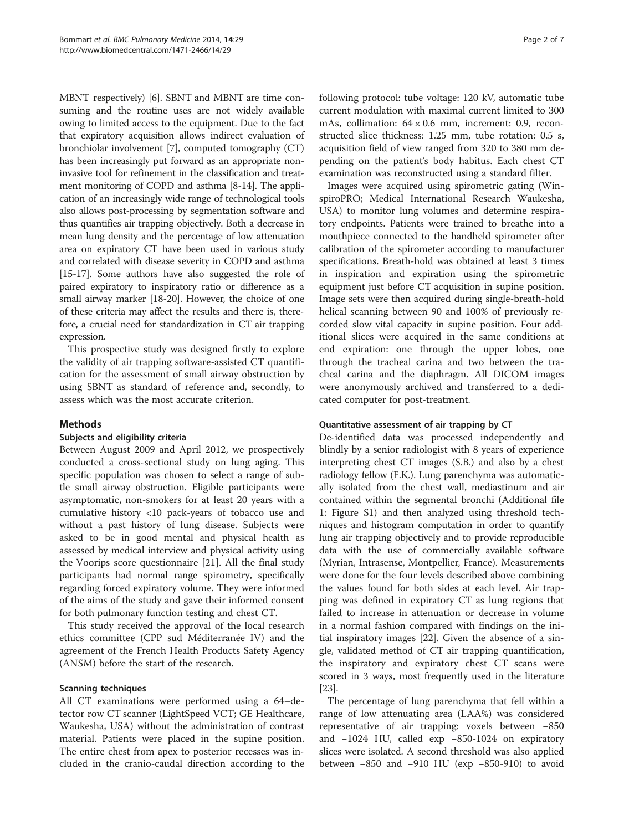MBNT respectively) [\[6\]](#page-5-0). SBNT and MBNT are time consuming and the routine uses are not widely available owing to limited access to the equipment. Due to the fact that expiratory acquisition allows indirect evaluation of bronchiolar involvement [\[7\]](#page-5-0), computed tomography (CT) has been increasingly put forward as an appropriate noninvasive tool for refinement in the classification and treatment monitoring of COPD and asthma [\[8](#page-5-0)-[14](#page-6-0)]. The application of an increasingly wide range of technological tools also allows post-processing by segmentation software and thus quantifies air trapping objectively. Both a decrease in mean lung density and the percentage of low attenuation area on expiratory CT have been used in various study and correlated with disease severity in COPD and asthma [[15](#page-6-0)-[17](#page-6-0)]. Some authors have also suggested the role of paired expiratory to inspiratory ratio or difference as a small airway marker [\[18-20\]](#page-6-0). However, the choice of one of these criteria may affect the results and there is, therefore, a crucial need for standardization in CT air trapping expression.

This prospective study was designed firstly to explore the validity of air trapping software-assisted CT quantification for the assessment of small airway obstruction by using SBNT as standard of reference and, secondly, to assess which was the most accurate criterion.

## Methods

## Subjects and eligibility criteria

Between August 2009 and April 2012, we prospectively conducted a cross-sectional study on lung aging. This specific population was chosen to select a range of subtle small airway obstruction. Eligible participants were asymptomatic, non-smokers for at least 20 years with a cumulative history <10 pack-years of tobacco use and without a past history of lung disease. Subjects were asked to be in good mental and physical health as assessed by medical interview and physical activity using the Voorips score questionnaire [\[21\]](#page-6-0). All the final study participants had normal range spirometry, specifically regarding forced expiratory volume. They were informed of the aims of the study and gave their informed consent for both pulmonary function testing and chest CT.

This study received the approval of the local research ethics committee (CPP sud Méditerranée IV) and the agreement of the French Health Products Safety Agency (ANSM) before the start of the research.

#### Scanning techniques

All CT examinations were performed using a 64–detector row CT scanner (LightSpeed VCT; GE Healthcare, Waukesha, USA) without the administration of contrast material. Patients were placed in the supine position. The entire chest from apex to posterior recesses was included in the cranio-caudal direction according to the following protocol: tube voltage: 120 kV, automatic tube current modulation with maximal current limited to 300 mAs, collimation:  $64 \times 0.6$  mm, increment: 0.9, reconstructed slice thickness: 1.25 mm, tube rotation: 0.5 s, acquisition field of view ranged from 320 to 380 mm depending on the patient's body habitus. Each chest CT examination was reconstructed using a standard filter.

Images were acquired using spirometric gating (WinspiroPRO; Medical International Research Waukesha, USA) to monitor lung volumes and determine respiratory endpoints. Patients were trained to breathe into a mouthpiece connected to the handheld spirometer after calibration of the spirometer according to manufacturer specifications. Breath-hold was obtained at least 3 times in inspiration and expiration using the spirometric equipment just before CT acquisition in supine position. Image sets were then acquired during single-breath-hold helical scanning between 90 and 100% of previously recorded slow vital capacity in supine position. Four additional slices were acquired in the same conditions at end expiration: one through the upper lobes, one through the tracheal carina and two between the tracheal carina and the diaphragm. All DICOM images were anonymously archived and transferred to a dedicated computer for post-treatment.

#### Quantitative assessment of air trapping by CT

De-identified data was processed independently and blindly by a senior radiologist with 8 years of experience interpreting chest CT images (S.B.) and also by a chest radiology fellow (F.K.). Lung parenchyma was automatically isolated from the chest wall, mediastinum and air contained within the segmental bronchi (Additional file [1:](#page-5-0) Figure S1) and then analyzed using threshold techniques and histogram computation in order to quantify lung air trapping objectively and to provide reproducible data with the use of commercially available software (Myrian, Intrasense, Montpellier, France). Measurements were done for the four levels described above combining the values found for both sides at each level. Air trapping was defined in expiratory CT as lung regions that failed to increase in attenuation or decrease in volume in a normal fashion compared with findings on the initial inspiratory images [[22\]](#page-6-0). Given the absence of a single, validated method of CT air trapping quantification, the inspiratory and expiratory chest CT scans were scored in 3 ways, most frequently used in the literature [[23\]](#page-6-0).

The percentage of lung parenchyma that fell within a range of low attenuating area (LAA%) was considered representative of air trapping: voxels between −850 and −1024 HU, called exp −850-1024 on expiratory slices were isolated. A second threshold was also applied between −850 and −910 HU (exp −850-910) to avoid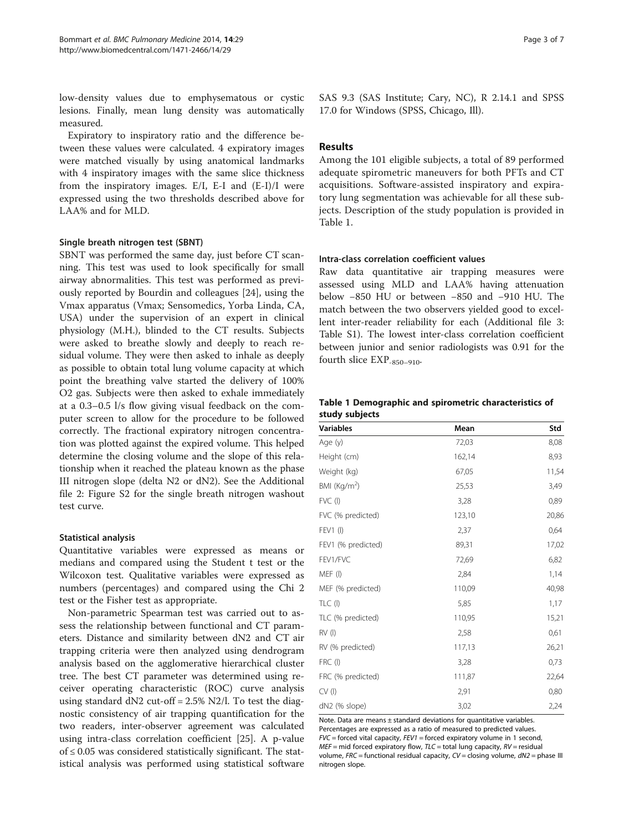low-density values due to emphysematous or cystic lesions. Finally, mean lung density was automatically measured.

Expiratory to inspiratory ratio and the difference between these values were calculated. 4 expiratory images were matched visually by using anatomical landmarks with 4 inspiratory images with the same slice thickness from the inspiratory images. E/I, E-I and (E-I)/I were expressed using the two thresholds described above for LAA% and for MLD.

#### Single breath nitrogen test (SBNT)

SBNT was performed the same day, just before CT scanning. This test was used to look specifically for small airway abnormalities. This test was performed as previously reported by Bourdin and colleagues [\[24](#page-6-0)], using the Vmax apparatus (Vmax; Sensomedics, Yorba Linda, CA, USA) under the supervision of an expert in clinical physiology (M.H.), blinded to the CT results. Subjects were asked to breathe slowly and deeply to reach residual volume. They were then asked to inhale as deeply as possible to obtain total lung volume capacity at which point the breathing valve started the delivery of 100% O2 gas. Subjects were then asked to exhale immediately at a 0.3–0.5 l/s flow giving visual feedback on the computer screen to allow for the procedure to be followed correctly. The fractional expiratory nitrogen concentration was plotted against the expired volume. This helped determine the closing volume and the slope of this relationship when it reached the plateau known as the phase III nitrogen slope (delta N2 or dN2). See the Additional file [2:](#page-5-0) Figure S2 for the single breath nitrogen washout test curve.

## Statistical analysis

Quantitative variables were expressed as means or medians and compared using the Student t test or the Wilcoxon test. Qualitative variables were expressed as numbers (percentages) and compared using the Chi 2 test or the Fisher test as appropriate.

Non-parametric Spearman test was carried out to assess the relationship between functional and CT parameters. Distance and similarity between dN2 and CT air trapping criteria were then analyzed using dendrogram analysis based on the agglomerative hierarchical cluster tree. The best CT parameter was determined using receiver operating characteristic (ROC) curve analysis using standard dN2 cut-off = 2.5% N2/l. To test the diagnostic consistency of air trapping quantification for the two readers, inter-observer agreement was calculated using intra-class correlation coefficient [\[25\]](#page-6-0). A p-value of ≤ 0.05 was considered statistically significant. The statistical analysis was performed using statistical software

SAS 9.3 (SAS Institute; Cary, NC), R 2.14.1 and SPSS 17.0 for Windows (SPSS, Chicago, Ill).

## Results

Among the 101 eligible subjects, a total of 89 performed adequate spirometric maneuvers for both PFTs and CT acquisitions. Software-assisted inspiratory and expiratory lung segmentation was achievable for all these subjects. Description of the study population is provided in Table 1.

#### Intra-class correlation coefficient values

Raw data quantitative air trapping measures were assessed using MLD and LAA% having attenuation below −850 HU or between −850 and −910 HU. The match between the two observers yielded good to excellent inter-reader reliability for each (Additional file [3](#page-5-0): Table S1). The lowest inter-class correlation coefficient between junior and senior radiologists was 0.91 for the fourth slice EXP-850–910.

#### Table 1 Demographic and spirometric characteristics of study subjects

| Variables                | Mean   | Std   |
|--------------------------|--------|-------|
| Age (y)                  | 72,03  | 8,08  |
| Height (cm)              | 162,14 | 8,93  |
| Weight (kg)              | 67,05  | 11,54 |
| BMI (Kg/m <sup>2</sup> ) | 25,53  | 3,49  |
| FVC(I)                   | 3,28   | 0,89  |
| FVC (% predicted)        | 123,10 | 20,86 |
| FEV1 (I)                 | 2,37   | 0,64  |
| FEV1 (% predicted)       | 89,31  | 17,02 |
| FEV1/FVC                 | 72,69  | 6,82  |
| MEF (I)                  | 2,84   | 1,14  |
| MEF (% predicted)        | 110,09 | 40,98 |
| TLC(I)                   | 5,85   | 1,17  |
| TLC (% predicted)        | 110,95 | 15,21 |
| $RV$ (l)                 | 2,58   | 0,61  |
| RV (% predicted)         | 117,13 | 26,21 |
| FRC(I)                   | 3,28   | 0,73  |
| FRC (% predicted)        | 111,87 | 22,64 |
| CV(                      | 2,91   | 0,80  |
| dN2 (% slope)            | 3,02   | 2,24  |

Note. Data are means ± standard deviations for quantitative variables. Percentages are expressed as a ratio of measured to predicted values.  $FVC =$  forced vital capacity,  $FEV1 =$  forced expiratory volume in 1 second,  $MEF$  = mid forced expiratory flow,  $TLC$  = total lung capacity,  $RV$  = residual volume,  $FRC =$  functional residual capacity,  $CV =$  closing volume,  $dN2 =$  phase III nitrogen slope.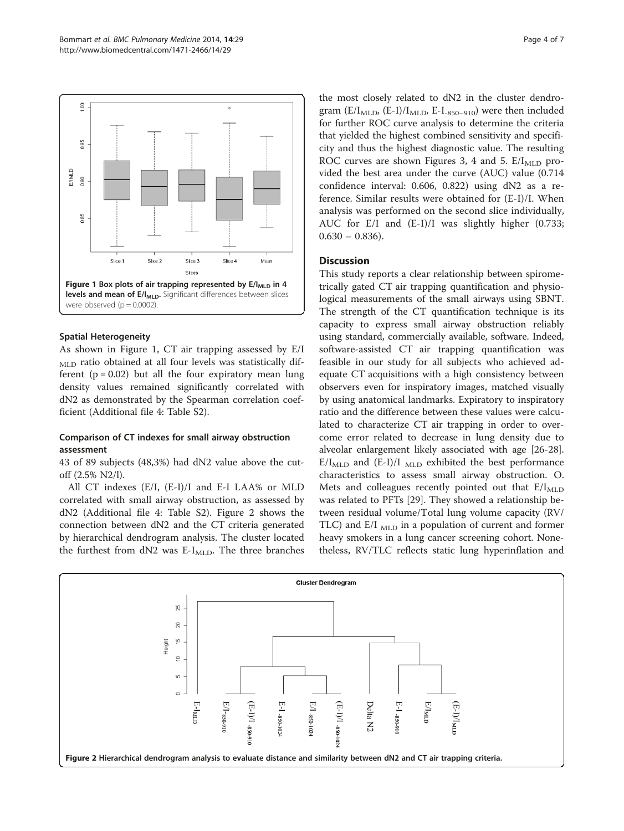

## Spatial Heterogeneity

As shown in Figure 1, CT air trapping assessed by E/I <sub>MLD</sub> ratio obtained at all four levels was statistically different ( $p = 0.02$ ) but all the four expiratory mean lung density values remained significantly correlated with dN2 as demonstrated by the Spearman correlation coefficient (Additional file [4](#page-5-0): Table S2).

## Comparison of CT indexes for small airway obstruction assessment

43 of 89 subjects (48,3%) had dN2 value above the cutoff (2.5% N2/l).

All CT indexes (E/I, (E-I)/I and E-I LAA% or MLD correlated with small airway obstruction, as assessed by dN2 (Additional file [4:](#page-5-0) Table S2). Figure 2 shows the connection between dN2 and the CT criteria generated by hierarchical dendrogram analysis. The cluster located the furthest from  $dN2$  was E-I<sub>MLD</sub>. The three branches

the most closely related to dN2 in the cluster dendrogram (E/I<sub>MLD</sub>, (E-I)/I<sub>MLD</sub>, E-I<sub>-850-910</sub>) were then included for further ROC curve analysis to determine the criteria that yielded the highest combined sensitivity and specificity and thus the highest diagnostic value. The resulting ROC curves are shown Figures [3, 4](#page-4-0) and [5](#page-4-0).  $E/I<sub>MLD</sub>$  provided the best area under the curve (AUC) value (0.714 confidence interval: 0.606, 0.822) using dN2 as a reference. Similar results were obtained for (E-I)/I. When analysis was performed on the second slice individually, AUC for E/I and (E-I)/I was slightly higher (0.733;  $0.630 - 0.836$ .

## **Discussion**

This study reports a clear relationship between spirometrically gated CT air trapping quantification and physiological measurements of the small airways using SBNT. The strength of the CT quantification technique is its capacity to express small airway obstruction reliably using standard, commercially available, software. Indeed, software-assisted CT air trapping quantification was feasible in our study for all subjects who achieved adequate CT acquisitions with a high consistency between observers even for inspiratory images, matched visually by using anatomical landmarks. Expiratory to inspiratory ratio and the difference between these values were calculated to characterize CT air trapping in order to overcome error related to decrease in lung density due to alveolar enlargement likely associated with age [\[26-28](#page-6-0)].  $E/I<sub>MLD</sub>$  and  $(E-I)/I<sub>MLD</sub>$  exhibited the best performance characteristics to assess small airway obstruction. O. Mets and colleagues recently pointed out that  $E/I<sub>MLD</sub>$ was related to PFTs [\[29](#page-6-0)]. They showed a relationship between residual volume/Total lung volume capacity (RV/ TLC) and  $E/I_{MLD}$  in a population of current and former heavy smokers in a lung cancer screening cohort. Nonetheless, RV/TLC reflects static lung hyperinflation and

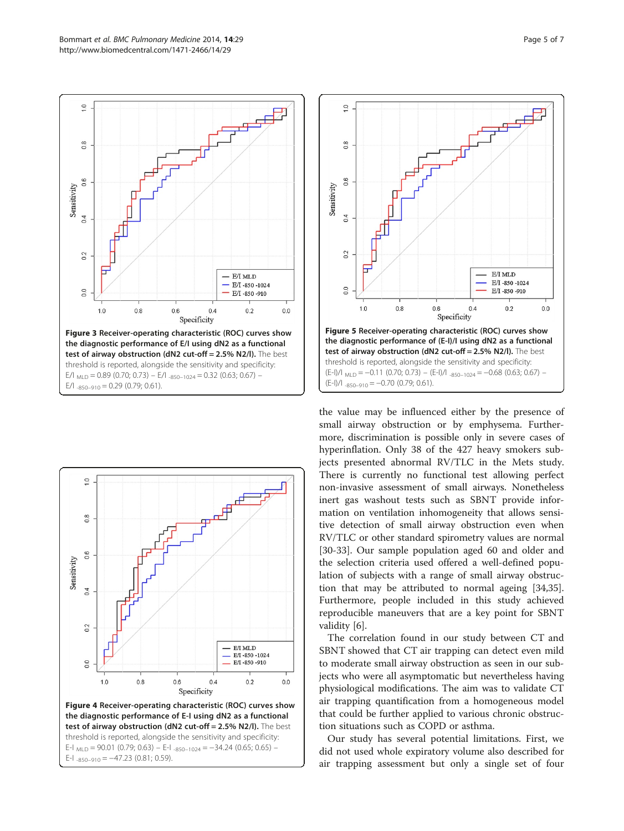<span id="page-4-0"></span>





the value may be influenced either by the presence of small airway obstruction or by emphysema. Furthermore, discrimination is possible only in severe cases of hyperinflation. Only 38 of the 427 heavy smokers subjects presented abnormal RV/TLC in the Mets study. There is currently no functional test allowing perfect non-invasive assessment of small airways. Nonetheless inert gas washout tests such as SBNT provide information on ventilation inhomogeneity that allows sensitive detection of small airway obstruction even when RV/TLC or other standard spirometry values are normal [[30-33](#page-6-0)]. Our sample population aged 60 and older and the selection criteria used offered a well-defined population of subjects with a range of small airway obstruction that may be attributed to normal ageing [\[34,35](#page-6-0)]. Furthermore, people included in this study achieved reproducible maneuvers that are a key point for SBNT validity [\[6](#page-5-0)].

The correlation found in our study between CT and SBNT showed that CT air trapping can detect even mild to moderate small airway obstruction as seen in our subjects who were all asymptomatic but nevertheless having physiological modifications. The aim was to validate CT air trapping quantification from a homogeneous model that could be further applied to various chronic obstruction situations such as COPD or asthma.

Our study has several potential limitations. First, we did not used whole expiratory volume also described for air trapping assessment but only a single set of four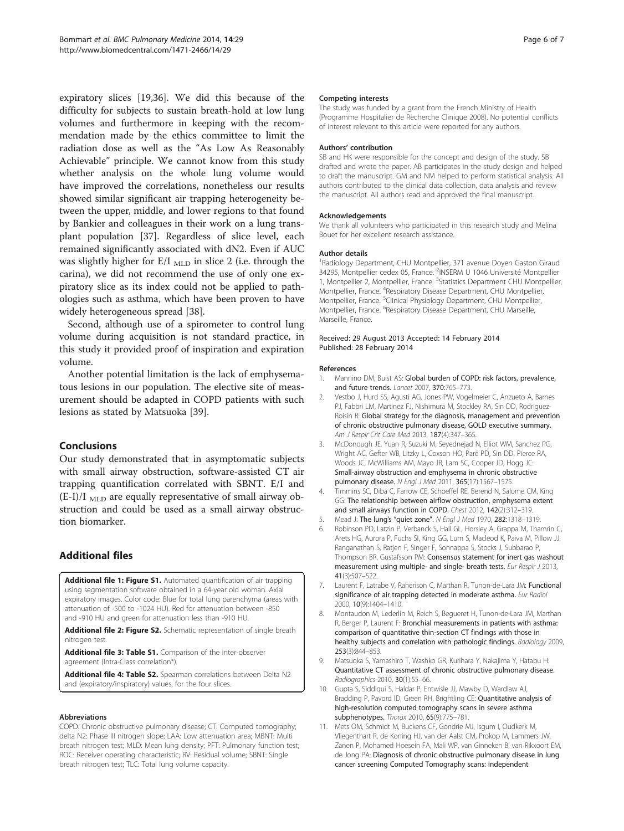<span id="page-5-0"></span>expiratory slices [\[19,36\]](#page-6-0). We did this because of the difficulty for subjects to sustain breath-hold at low lung volumes and furthermore in keeping with the recommendation made by the ethics committee to limit the radiation dose as well as the "As Low As Reasonably Achievable" principle. We cannot know from this study whether analysis on the whole lung volume would have improved the correlations, nonetheless our results showed similar significant air trapping heterogeneity between the upper, middle, and lower regions to that found by Bankier and colleagues in their work on a lung transplant population [[37\]](#page-6-0). Regardless of slice level, each remained significantly associated with dN2. Even if AUC was slightly higher for  $E/I_{MLD}$  in slice 2 (i.e. through the carina), we did not recommend the use of only one expiratory slice as its index could not be applied to pathologies such as asthma, which have been proven to have widely heterogeneous spread [[38](#page-6-0)].

Second, although use of a spirometer to control lung volume during acquisition is not standard practice, in this study it provided proof of inspiration and expiration volume.

Another potential limitation is the lack of emphysematous lesions in our population. The elective site of measurement should be adapted in COPD patients with such lesions as stated by Matsuoka [\[39](#page-6-0)].

## Conclusions

Our study demonstrated that in asymptomatic subjects with small airway obstruction, software-assisted CT air trapping quantification correlated with SBNT. E/I and  $(E-I)/I$ <sub>MLD</sub> are equally representative of small airway obstruction and could be used as a small airway obstruction biomarker.

## Additional files

[Additional file 1: Figure S1.](http://www.biomedcentral.com/content/supplementary/1471-2466-14-29-S1.pdf) Automated quantification of air trapping using segmentation software obtained in a 64-year old woman. Axial expiratory images. Color code: Blue for total lung parenchyma (areas with attenuation of -500 to -1024 HU). Red for attenuation between -850 and -910 HU and green for attenuation less than -910 HU.

[Additional file 2: Figure S2.](http://www.biomedcentral.com/content/supplementary/1471-2466-14-29-S2.pdf) Schematic representation of single breath nitrogen test.

[Additional file 3: Table S1.](http://www.biomedcentral.com/content/supplementary/1471-2466-14-29-S3.pdf) Comparison of the inter-observer agreement (Intra-Class correlation\*).

[Additional file 4: Table S2.](http://www.biomedcentral.com/content/supplementary/1471-2466-14-29-S4.pdf) Spearman correlations between Delta N2 and (expiratory/inspiratory) values, for the four slices.

#### Abbreviations

COPD: Chronic obstructive pulmonary disease; CT: Computed tomography; delta N2: Phase III nitrogen slope; LAA: Low attenuation area; MBNT: Multi breath nitrogen test; MLD: Mean lung density; PFT: Pulmonary function test; ROC: Receiver operating characteristic; RV: Residual volume; SBNT: Single breath nitrogen test; TLC: Total lung volume capacity.

#### Competing interests

The study was funded by a grant from the French Ministry of Health (Programme Hospitalier de Recherche Clinique 2008). No potential conflicts of interest relevant to this article were reported for any authors.

#### Authors' contribution

SB and HK were responsible for the concept and design of the study. SB drafted and wrote the paper. AB participates in the study design and helped to draft the manuscript. GM and NM helped to perform statistical analysis. All authors contributed to the clinical data collection, data analysis and review the manuscript. All authors read and approved the final manuscript.

#### Acknowledgements

We thank all volunteers who participated in this research study and Melina Bouet for her excellent research assistance.

#### Author details

<sup>1</sup> Radiology Department, CHU Montpellier, 371 avenue Doyen Gaston Giraud 34295, Montpellier cedex 05, France. <sup>2</sup>INSERM U 1046 Université Montpellier 1, Montpellier 2, Montpellier, France. <sup>3</sup>Statistics Department CHU Montpellier Montpellier, France. <sup>4</sup>Respiratory Disease Department, CHU Montpellier, Montpellier, France. <sup>5</sup>Clinical Physiology Department, CHU Montpellier, Montpellier, France. <sup>6</sup>Respiratory Disease Department, CHU Marseille, Marseille, France.

#### Received: 29 August 2013 Accepted: 14 February 2014 Published: 28 February 2014

#### References

- 1. Mannino DM, Buist AS: Global burden of COPD: risk factors, prevalence, and future trends. Lancet 2007, 370:765–773.
- 2. Vestbo J, Hurd SS, Agusti AG, Jones PW, Vogelmeier C, Anzueto A, Barnes PJ, Fabbri LM, Martinez FJ, Nishimura M, Stockley RA, Sin DD, Rodriguez-Roisin R: Global strategy for the diagnosis, management and prevention of chronic obstructive pulmonary disease, GOLD executive summary. Am J Respir Crit Care Med 2013, 187(4):347–365.
- 3. McDonough JE, Yuan R, Suzuki M, Seyednejad N, Elliot WM, Sanchez PG, Wright AC, Gefter WB, Litzky L, Coxson HO, Paré PD, Sin DD, Pierce RA, Woods JC, McWilliams AM, Mayo JR, Lam SC, Cooper JD, Hogg JC: Small-airway obstruction and emphysema in chronic obstructive pulmonary disease. N Engl J Med 2011, 365(17):1567–1575.
- 4. Timmins SC, Diba C, Farrow CE, Schoeffel RE, Berend N, Salome CM, King GG: The relationship between airflow obstruction, emphysema extent and small airways function in COPD. Chest 2012, 142(2):312–319.
- 5. Mead J: The lung's "quiet zone". N Engl J Med 1970, 282:1318–1319.
- 6. Robinson PD, Latzin P, Verbanck S, Hall GL, Horsley A, Grappa M, Thamrin C, Arets HG, Aurora P, Fuchs SI, King GG, Lum S, Macleod K, Paiva M, Pillow JJ, Ranganathan S, Ratjen F, Singer F, Sonnappa S, Stocks J, Subbarao P, Thompson BR, Gustafsson PM: Consensus statement for inert gas washout measurement using multiple- and single- breath tests. Eur Respir J 2013, 41(3):507–522.
- 7. Laurent F, Latrabe V, Raherison C, Marthan R, Tunon-de-Lara JM: Functional significance of air trapping detected in moderate asthma. Eur Radiol 2000, 10(9):1404–1410.
- 8. Montaudon M, Lederlin M, Reich S, Begueret H, Tunon-de-Lara JM, Marthan R, Berger P, Laurent F: Bronchial measurements in patients with asthma: comparison of quantitative thin-section CT findings with those in healthy subjects and correlation with pathologic findings. Radiology 2009, 253(3):844–853.
- 9. Matsuoka S, Yamashiro T, Washko GR, Kurihara Y, Nakajima Y, Hatabu H: Quantitative CT assessment of chronic obstructive pulmonary disease. Radiographics 2010, 30(1):55–66.
- 10. Gupta S, Siddiqui S, Haldar P, Entwisle JJ, Mawby D, Wardlaw AJ, Bradding P, Pavord ID, Green RH, Brightling CE: Quantitative analysis of high-resolution computed tomography scans in severe asthma subphenotypes. Thorax 2010, 65(9):775–781.
- 11. Mets OM, Schmidt M, Buckens CF, Gondrie MJ, Isgum I, Oudkerk M, Vliegenthart R, de Koning HJ, van der Aalst CM, Prokop M, Lammers JW, Zanen P, Mohamed Hoesein FA, Mali WP, van Ginneken B, van Rikxoort EM, de Jong PA: Diagnosis of chronic obstructive pulmonary disease in lung cancer screening Computed Tomography scans: independent